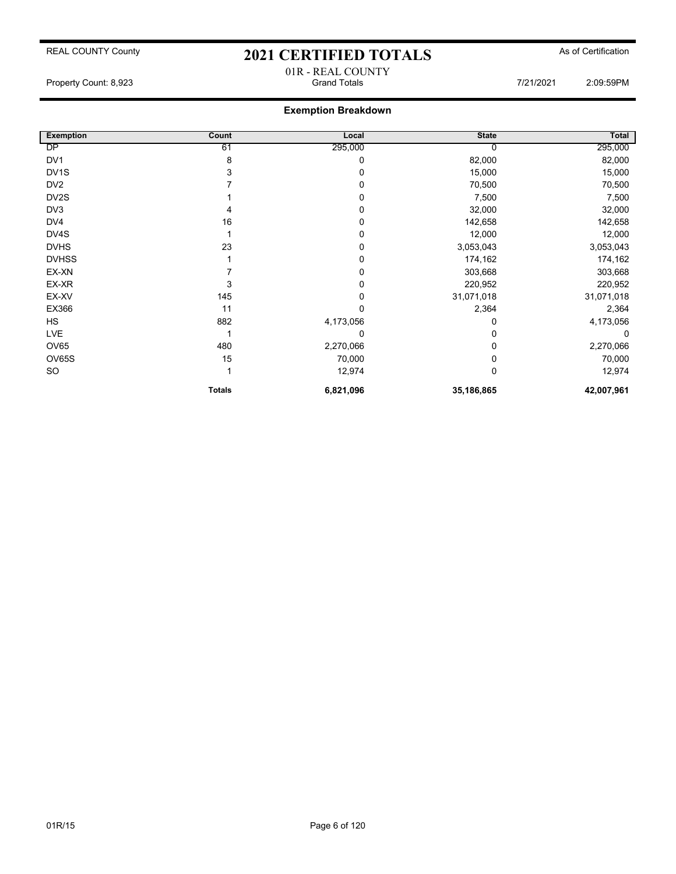| <b>Exemption</b>  | Count         | Local     | <b>State</b> | <b>Total</b> |
|-------------------|---------------|-----------|--------------|--------------|
| DP                | 61            | 295,000   | 0            | 295,000      |
| DV1               | 8             | 0         | 82,000       | 82,000       |
| DV <sub>1</sub> S | 3             | 0         | 15,000       | 15,000       |
| DV <sub>2</sub>   |               | 0         | 70,500       | 70,500       |
| DV <sub>2</sub> S |               | 0         | 7,500        | 7,500        |
| DV3               | 4             | 0         | 32,000       | 32,000       |
| DV4               | 16            | 0         | 142,658      | 142,658      |
| DV4S              |               | 0         | 12,000       | 12,000       |
| <b>DVHS</b>       | 23            | 0         | 3,053,043    | 3,053,043    |
| <b>DVHSS</b>      |               | 0         | 174,162      | 174,162      |
| EX-XN             |               | 0         | 303,668      | 303,668      |
| EX-XR             | 3             |           | 220,952      | 220,952      |
| EX-XV             | 145           | 0         | 31,071,018   | 31,071,018   |
| EX366             | 11            | 0         | 2,364        | 2,364        |
| <b>HS</b>         | 882           | 4,173,056 | 0            | 4,173,056    |
| <b>LVE</b>        | 1             | 0         | 0            | 0            |
| OV65              | 480           | 2,270,066 | 0            | 2,270,066    |
| OV65S             | 15            | 70,000    | 0            | 70,000       |
| SO                |               | 12,974    | 0            | 12,974       |
|                   | <b>Totals</b> | 6,821,096 | 35,186,865   | 42,007,961   |

01R - REAL COUNTY Property Count: 8,923 Grand Totals 7/21/2021 2:09:59PM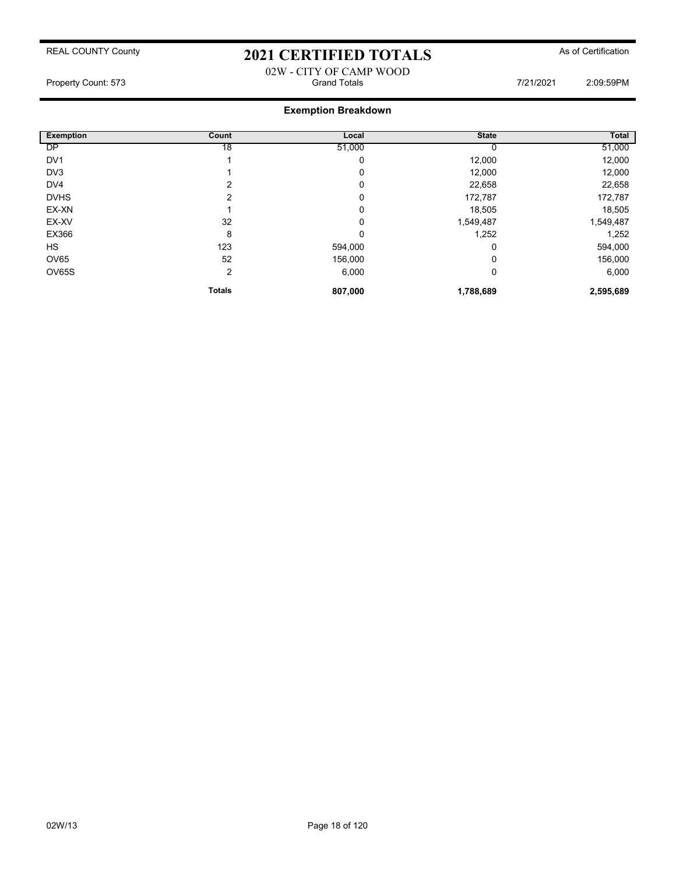### 02W - CITY OF CAMP WOOD Property Count: 573 Grand Totals 7/21/2021 2:09:59PM

| <b>Exemption</b> | Count         | Local   | <b>State</b> | Total     |
|------------------|---------------|---------|--------------|-----------|
| <b>DP</b>        | 18            | 51,000  |              | 51,000    |
| DV <sub>1</sub>  |               | 0       | 12,000       | 12,000    |
| DV <sub>3</sub>  |               | 0       | 12,000       | 12,000    |
| DV4              | 2             | 0       | 22,658       | 22,658    |
| <b>DVHS</b>      | っ             | 0       | 172,787      | 172,787   |
| EX-XN            |               | 0       | 18,505       | 18,505    |
| EX-XV            | 32            | 0       | 1,549,487    | 1,549,487 |
| EX366            | 8             | 0       | 1,252        | 1,252     |
| HS               | 123           | 594,000 | 0            | 594,000   |
| OV65             | 52            | 156,000 | 0            | 156,000   |
| <b>OV65S</b>     | 2             | 6,000   | 0            | 6,000     |
|                  | <b>Totals</b> | 807,000 | 1,788,689    | 2,595,689 |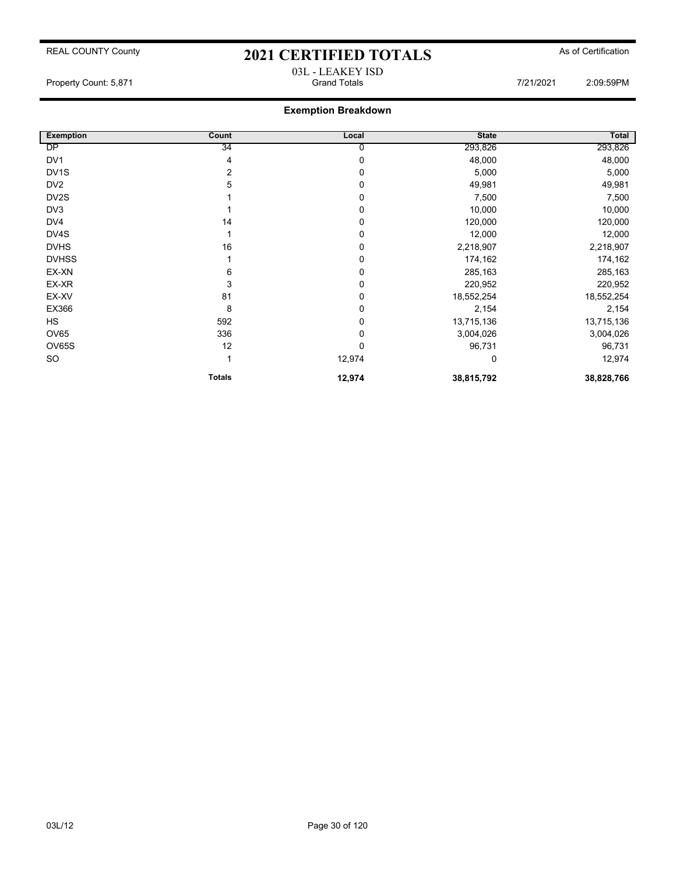## REAL COUNTY County **2021 CERTIFIED TOTALS** As of Certification 03L - LEAKEY ISD

Property Count: 5,871 Grand Totals 7/21/2021 2:09:59PM

| <b>Exemption</b>  | Count         | Local  | <b>State</b> | Total      |
|-------------------|---------------|--------|--------------|------------|
| DP                | 34            | 0      | 293,826      | 293,826    |
| DV <sub>1</sub>   | 4             | 0      | 48,000       | 48,000     |
| DV <sub>1</sub> S | 2             | 0      | 5,000        | 5,000      |
| DV <sub>2</sub>   | 5             | 0      | 49,981       | 49,981     |
| DV2S              |               | 0      | 7,500        | 7,500      |
| DV3               |               | 0      | 10,000       | 10,000     |
| DV4               | 14            | 0      | 120,000      | 120,000    |
| DV4S              |               | 0      | 12,000       | 12,000     |
| <b>DVHS</b>       | 16            | 0      | 2,218,907    | 2,218,907  |
| <b>DVHSS</b>      |               | 0      | 174,162      | 174,162    |
| EX-XN             | 6             | 0      | 285,163      | 285,163    |
| EX-XR             | 3             | 0      | 220,952      | 220,952    |
| EX-XV             | 81            | 0      | 18,552,254   | 18,552,254 |
| EX366             | 8             | 0      | 2,154        | 2,154      |
| <b>HS</b>         | 592           | 0      | 13,715,136   | 13,715,136 |
| <b>OV65</b>       | 336           | 0      | 3,004,026    | 3,004,026  |
| OV65S             | 12            | 0      | 96,731       | 96,731     |
| <b>SO</b>         |               | 12,974 | 0            | 12,974     |
|                   | <b>Totals</b> | 12,974 | 38,815,792   | 38,828,766 |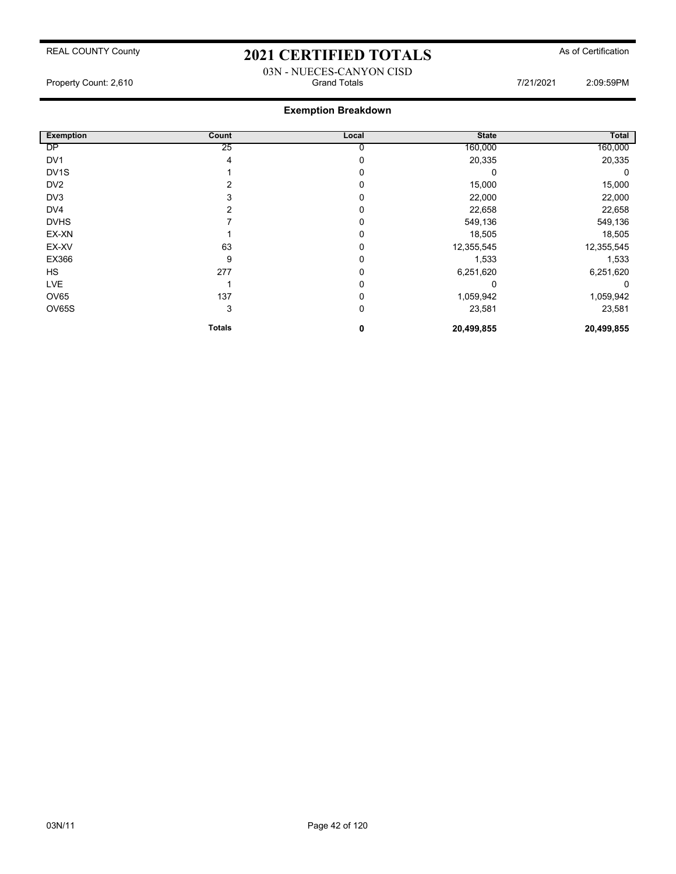### 03N - NUECES-CANYON CISD Property Count: 2,610 Grand Totals 7/21/2021 2:09:59PM

| <b>Exemption</b>  | Count         | Local    | <b>State</b> | Total      |
|-------------------|---------------|----------|--------------|------------|
| DP                | 25            | 0        | 160,000      | 160,000    |
| DV <sub>1</sub>   | 4             | 0        | 20,335       | 20,335     |
| DV <sub>1</sub> S |               | 0        |              | 0          |
| DV <sub>2</sub>   |               | 0        | 15,000       | 15,000     |
| DV3               |               | 0        | 22,000       | 22,000     |
| DV4               |               | 0        | 22,658       | 22,658     |
| <b>DVHS</b>       |               | $\Omega$ | 549,136      | 549,136    |
| EX-XN             |               | $\Omega$ | 18,505       | 18,505     |
| EX-XV             | 63            | 0        | 12,355,545   | 12,355,545 |
| EX366             | 9             | $\Omega$ | 1,533        | 1,533      |
| <b>HS</b>         | 277           | 0        | 6,251,620    | 6,251,620  |
| <b>LVE</b>        |               | 0        | 0            | 0          |
| OV65              | 137           | 0        | 1,059,942    | 1,059,942  |
| OV65S             | 3             | 0        | 23,581       | 23,581     |
|                   | <b>Totals</b> | 0        | 20,499,855   | 20,499,855 |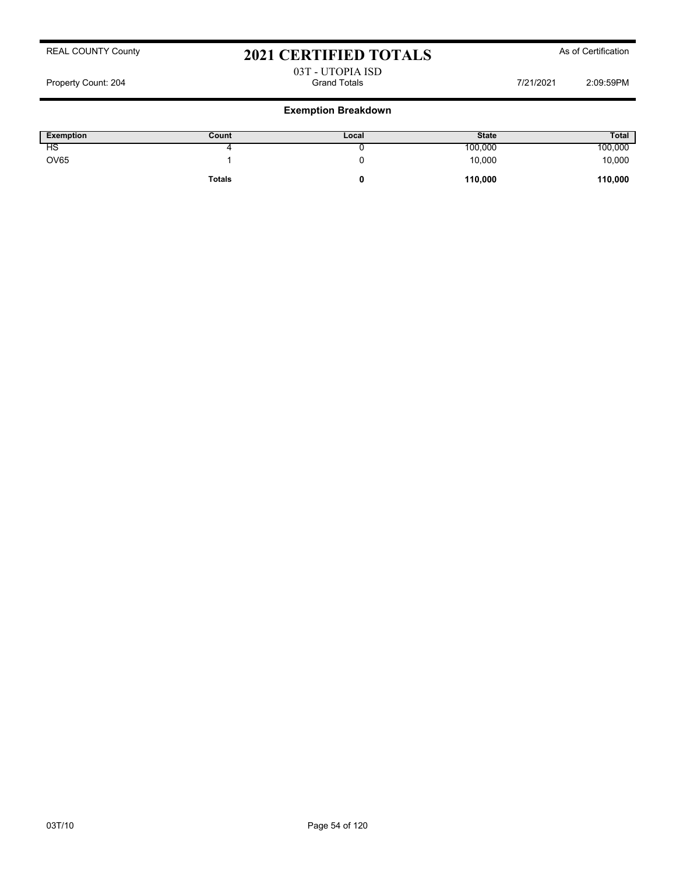# 03T - UTOPIA ISD

Property Count: 204 **Count: 204** Grand Totals **Count: 204** Grand Totals **7/21/2021** 2:09:59PM

| <b>Exemption</b> | Count         | Local | <b>State</b> | <b>Total</b> |
|------------------|---------------|-------|--------------|--------------|
| ΗS               |               |       | 100,000      | 100,000      |
| <b>OV65</b>      |               |       | 10,000       | 10,000       |
|                  | <b>Totals</b> |       | 110,000      | 110,000      |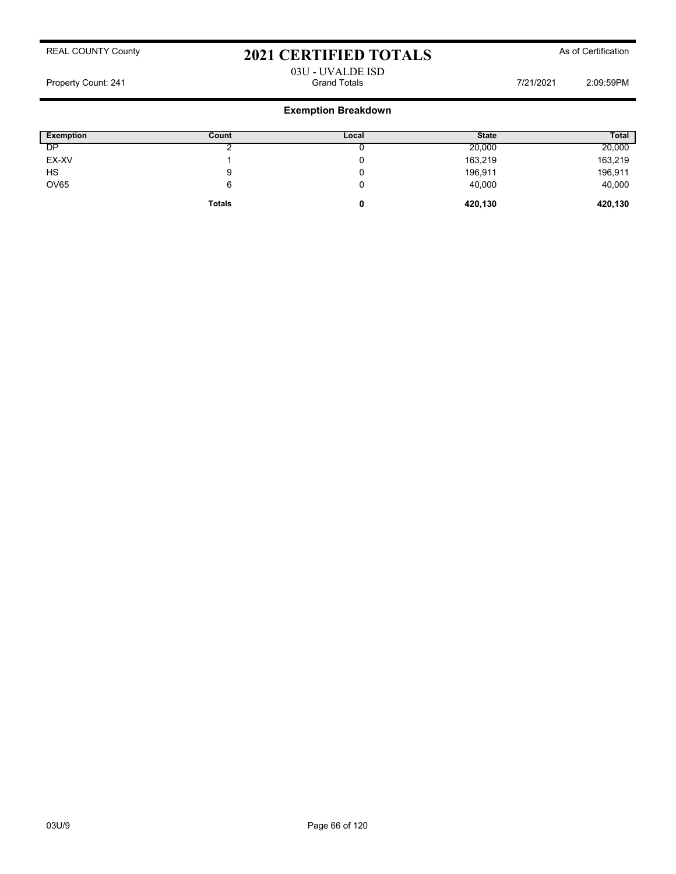## 03U - UVALDE ISD Property Count: 241 **Property Count: 241** Crand Totals **Grand Totals** 7/21/2021 2:09:59PM

| <b>Exemption</b> | Count         | Local | <b>State</b> | <b>Total</b> |
|------------------|---------------|-------|--------------|--------------|
| DP               |               | ັ     | 20,000       | 20,000       |
| EX-XV            |               | 0     | 163,219      | 163,219      |
| HS               | 9             | 0     | 196,911      | 196,911      |
| <b>OV65</b>      | 6             | 0     | 40,000       | 40,000       |
|                  | <b>Totals</b> | 0     | 420,130      | 420,130      |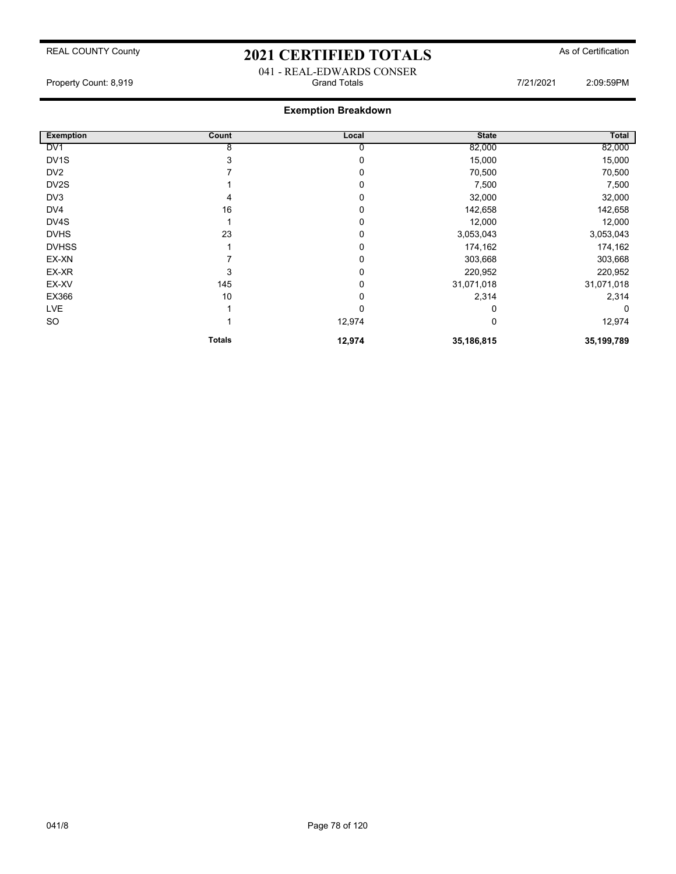041 - REAL-EDWARDS CONSER<br>Grand Totals Property Count: 8,919 **Count: 8,919** Crand Totals **Grand Totals Count: 8,919** 2:09:59PM

| <b>Exemption</b>  | Count         | Local  | <b>State</b> | Total      |
|-------------------|---------------|--------|--------------|------------|
| DV <sub>1</sub>   | 8             | 0      | 82,000       | 82,000     |
| DV <sub>1</sub> S | 3             | 0      | 15,000       | 15,000     |
| DV <sub>2</sub>   |               | 0      | 70,500       | 70,500     |
| DV <sub>2</sub> S |               | 0      | 7,500        | 7,500      |
| DV3               | 4             | 0      | 32,000       | 32,000     |
| DV4               | 16            | 0      | 142,658      | 142,658    |
| DV4S              |               | 0      | 12,000       | 12,000     |
| <b>DVHS</b>       | 23            | 0      | 3,053,043    | 3,053,043  |
| <b>DVHSS</b>      |               | 0      | 174,162      | 174,162    |
| EX-XN             |               | 0      | 303,668      | 303,668    |
| EX-XR             | 3             | 0      | 220,952      | 220,952    |
| EX-XV             | 145           | 0      | 31,071,018   | 31,071,018 |
| EX366             | 10            | 0      | 2,314        | 2,314      |
| <b>LVE</b>        |               | 0      | 0            | 0          |
| SO                |               | 12,974 | 0            | 12,974     |
|                   | <b>Totals</b> | 12,974 | 35,186,815   | 35,199,789 |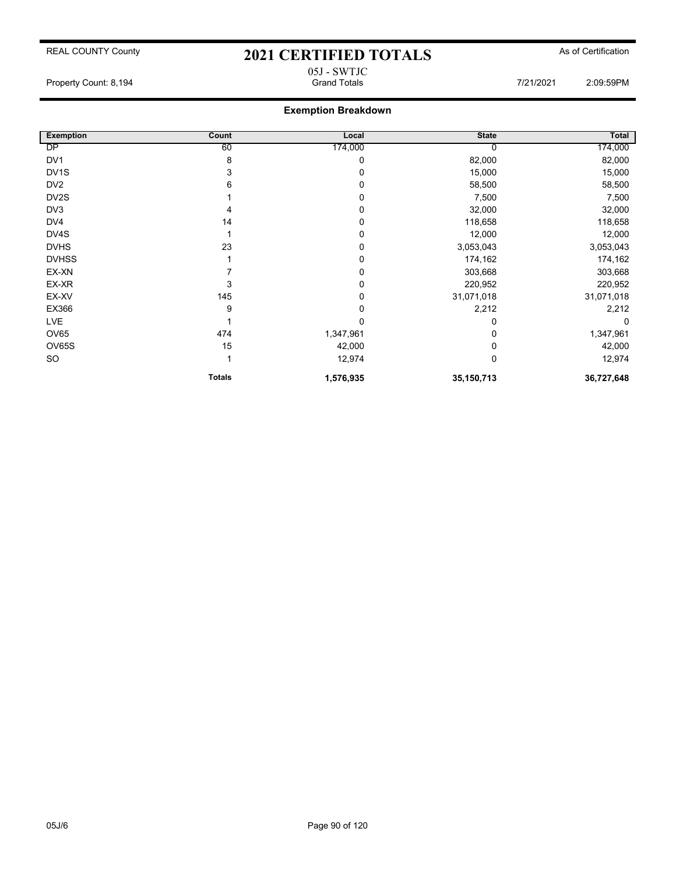05J - SWTJC

## **Exemption Breakdown**

| <b>Exemption</b>  | Count         | Local     | <b>State</b> | <b>Total</b> |
|-------------------|---------------|-----------|--------------|--------------|
| DP                | 60            | 174,000   |              | 174,000      |
| DV <sub>1</sub>   | 8             | 0         | 82,000       | 82,000       |
| DV <sub>1</sub> S | 3             | 0         | 15,000       | 15,000       |
| DV <sub>2</sub>   | 6             | 0         | 58,500       | 58,500       |
| DV <sub>2</sub> S |               | 0         | 7,500        | 7,500        |
| DV3               | 4             | 0         | 32,000       | 32,000       |
| DV4               | 14            | 0         | 118,658      | 118,658      |
| DV4S              |               | 0         | 12,000       | 12,000       |
| <b>DVHS</b>       | 23            | 0         | 3,053,043    | 3,053,043    |
| <b>DVHSS</b>      |               | 0         | 174,162      | 174,162      |
| EX-XN             |               | 0         | 303,668      | 303,668      |
| EX-XR             | 3             | 0         | 220,952      | 220,952      |
| EX-XV             | 145           | 0         | 31,071,018   | 31,071,018   |
| EX366             | 9             | 0         | 2,212        | 2,212        |
| <b>LVE</b>        |               | 0         |              | $\Omega$     |
| OV65              | 474           | 1,347,961 |              | 1,347,961    |
| OV65S             | 15            | 42,000    |              | 42,000       |
| SO                |               | 12,974    | 0            | 12,974       |
|                   | <b>Totals</b> | 1,576,935 | 35,150,713   | 36,727,648   |

Property Count: 8,194 **Count: 8,194** Crand Totals **Count: 8,194** Crand Totals **COUNT: 8,194** 2:09:59PM